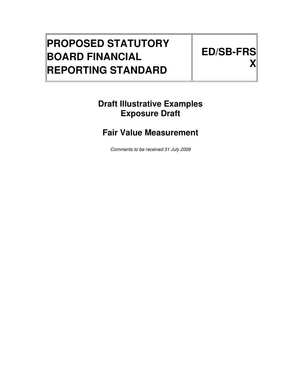## **PROPOSED STATUTORY BOARD FINANCIAL REPORTING STANDARD**

# **ED/SB-FRS X**

## **Draft Illustrative Examples Exposure Draft**

## **Fair Value Measurement**

Comments to be received 31 July 2009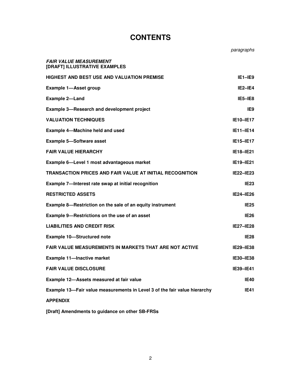### **CONTENTS**

paragraphs

| <i>FAIR VALUE MEASUREMENT</i><br><b>IDRAFTI ILLUSTRATIVE EXAMPLES</b>     |                  |
|---------------------------------------------------------------------------|------------------|
| HIGHEST AND BEST USE AND VALUATION PREMISE                                | $IE1 - IE9$      |
| <b>Example 1-Asset group</b>                                              | $IE2-IE4$        |
| Example 2—Land                                                            | IE5-IE8          |
| <b>Example 3-Research and development project</b>                         | IE9              |
| <b>VALUATION TECHNIQUES</b>                                               | <b>IE10-IE17</b> |
| <b>Example 4-Machine held and used</b>                                    | <b>IE11-IE14</b> |
| <b>Example 5-Software asset</b>                                           | <b>IE15-IE17</b> |
| <b>FAIR VALUE HIERARCHY</b>                                               | <b>IE18-IE21</b> |
| Example 6-Level 1 most advantageous market                                | <b>IE19-IE21</b> |
| TRANSACTION PRICES AND FAIR VALUE AT INITIAL RECOGNITION                  | <b>IE22-IE23</b> |
| Example 7-Interest rate swap at initial recognition                       | <b>IE23</b>      |
| <b>RESTRICTED ASSETS</b>                                                  | <b>IE24-IE26</b> |
| Example 8-Restriction on the sale of an equity instrument                 | <b>IE25</b>      |
| <b>Example 9––Restrictions on the use of an asset</b>                     | <b>IE26</b>      |
| LIABILITIES AND CREDIT RISK                                               | <b>IE27-IE28</b> |
| <b>Example 10-Structured note</b>                                         | <b>IE28</b>      |
| FAIR VALUE MEASUREMENTS IN MARKETS THAT ARE NOT ACTIVE                    | <b>IE29-IE38</b> |
| <b>Example 11-Inactive market</b>                                         | <b>IE30-IE38</b> |
| <b>FAIR VALUE DISCLOSURE</b>                                              | <b>IE39-IE41</b> |
| <b>Example 12-Assets measured at fair value</b>                           | <b>IE40</b>      |
| Example 13-Fair value measurements in Level 3 of the fair value hierarchy | <b>IE41</b>      |
| <b>APPENDIX</b>                                                           |                  |
|                                                                           |                  |

**[Draft] Amendments to guidance on other SB-FRSs**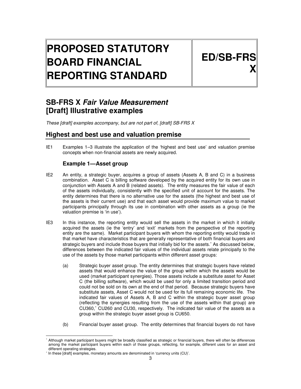## **PROPOSED STATUTORY BOARD FINANCIAL REPORTING STANDARD**

# **ED/SB-FRS X**

## **SB-FRS X Fair Value Measurement [Draft] Illustrative examples**

These [draft] examples accompany, but are not part of, [draft] SB-FRS X

#### **Highest and best use and valuation premise**

IE1 Examples 1–3 illustrate the application of the 'highest and best use' and valuation premise concepts when non-financial assets are newly acquired.

#### **Example 1—Asset group**

- IE2 An entity, a strategic buyer, acquires a group of assets (Assets A, B and C) in a business combination. Asset C is billing software developed by the acquired entity for its own use in conjunction with Assets A and B (related assets). The entity measures the fair value of each of the assets individually, consistently with the specified unit of account for the assets. The entity determines that there is no alternative use for the assets (the highest and best use of the assets is their current use) and that each asset would provide maximum value to market participants principally through its use in combination with other assets as a group (ie the valuation premise is 'in use').
- IE3 In this instance, the reporting entity would sell the assets in the market in which it initially acquired the assets (ie the 'entry' and 'exit' markets from the perspective of the reporting entity are the same). Market participant buyers with whom the reporting entity would trade in that market have characteristics that are generally representative of both financial buyers and strategic buyers and include those buyers that initially bid for the assets.<sup>∗</sup> As discussed below, differences between the indicated fair values of the individual assets relate principally to the use of the assets by those market participants within different asset groups:
	- (a) Strategic buyer asset group. The entity determines that strategic buyers have related assets that would enhance the value of the group within which the assets would be used (market participant synergies). Those assets include a substitute asset for Asset C (the billing software), which would be used for only a limited transition period and could not be sold on its own at the end of that period. Because strategic buyers have substitute assets, Asset C would not be used for its full remaining economic life. The indicated fair values of Assets A, B and C within the strategic buyer asset group (reflecting the synergies resulting from the use of the assets within that group) are CU360,<sup>∗</sup> CU260 and CU30, respectively. The indicated fair value of the assets as a group within the strategic buyer asset group is CU650.
	- (b) Financial buyer asset group. The entity determines that financial buyers do not have

l

<sup>∗</sup> Although market participant buyers might be broadly classified as strategic or financial buyers, there will often be differences among the market participant buyers within each of those groups, reflecting, for example, different uses for an asset and different operating strategies.

<sup>∗</sup> In these [draft] examples, monetary amounts are denominated in 'currency units (CU)'.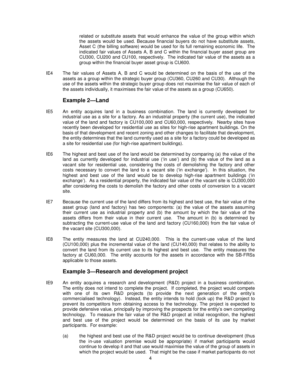related or substitute assets that would enhance the value of the group within which the assets would be used. Because financial buyers do not have substitute assets, Asset C (the billing software) would be used for its full remaining economic life. The indicated fair values of Assets A, B and C within the financial buyer asset group are CU300, CU200 and CU100, respectively. The indicated fair value of the assets as a group within the financial buyer asset group is CU600.

IE4 The fair values of Assets A, B and C would be determined on the basis of the use of the assets as a group within the strategic buyer group (CU360, CU260 and CU30). Although the use of the assets within the strategic buyer group does not maximise the fair value of each of the assets individually, it maximises the fair value of the assets as a group (CU650).

#### **Example 2—Land**

- IE5 An entity acquires land in a business combination. The land is currently developed for industrial use as a site for a factory. As an industrial property (the current use), the indicated value of the land and factory is CU100,000 and CU60,000, respectively. Nearby sites have recently been developed for residential use as sites for high-rise apartment buildings. On the basis of that development and recent zoning and other changes to facilitate that development, the entity determines that the land currently used as a site for a factory could be developed as a site for residential use (for high-rise apartment buildings).
- IE6 The highest and best use of the land would be determined by comparing (a) the value of the land as currently developed for industrial use ('in use') and (b) the value of the land as a vacant site for residential use, considering the costs of demolishing the factory and other costs necessary to convert the land to a vacant site ('in exchange'). In this situation, the highest and best use of the land would be to develop high-rise apartment buildings ('in exchange'). As a residential property, the indicated fair value of the vacant site is CU300,000 after considering the costs to demolish the factory and other costs of conversion to a vacant site.
- IE7 Because the current use of the land differs from its highest and best use, the fair value of the asset group (land and factory) has two components: (a) the value of the assets assuming their current use as industrial property and (b) the amount by which the fair value of the assets differs from their value in their current use. The amount in (b) is determined by subtracting the current-use value of the land and factory (CU160,000) from the fair value of the vacant site (CU300,000).
- IE8 The entity measures the land at CU240,000. This is the current-use value of the land (CU100,000) plus the incremental value of the land (CU140,000) that relates to the ability to convert the land from its current use to its highest and best use. The entity measures the factory at CU60,000. The entity accounts for the assets in accordance with the SB-FRSs applicable to those assets.

#### **Example 3—Research and development project**

- IE9 An entity acquires a research and development (R&D) project in a business combination. The entity does not intend to complete the project. If completed, the project would compete with one of its own R&D projects (to provide the next generation of the entity's commercialised technology). Instead, the entity intends to hold (lock up) the R&D project to prevent its competitors from obtaining access to the technology. The project is expected to provide defensive value, principally by improving the prospects for the entity's own competing technology. To measure the fair value of the R&D project at initial recognition, the highest and best use of the project would be determined on the basis of its use by market participants. For example:
	- (a) the highest and best use of the R&D project would be to continue development (thus the in-use valuation premise would be appropriate) if market participants would continue to develop it and that use would maximise the value of the group of assets in which the project would be used. That might be the case if market participants do not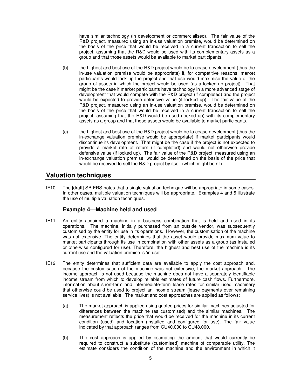have similar technology (in development or commercialised). The fair value of the R&D project, measured using an in-use valuation premise, would be determined on the basis of the price that would be received in a current transaction to sell the project, assuming that the R&D would be used with its complementary assets as a group and that those assets would be available to market participants.

- (b) the highest and best use of the R&D project would be to cease development (thus the in-use valuation premise would be appropriate) if, for competitive reasons, market participants would lock up the project and that use would maximise the value of the group of assets in which the project would be used (as a locked-up project). That might be the case if market participants have technology in a more advanced stage of development that would compete with the R&D project (if completed) and the project would be expected to provide defensive value (if locked up). The fair value of the R&D project, measured using an in-use valuation premise, would be determined on the basis of the price that would be received in a current transaction to sell the project, assuming that the R&D would be used (locked up) with its complementary assets as a group and that those assets would be available to market participants.
- (c) the highest and best use of the R&D project would be to cease development (thus the in-exchange valuation premise would be appropriate) if market participants would discontinue its development. That might be the case if the project is not expected to provide a market rate of return (if completed) and would not otherwise provide defensive value (if locked up). The fair value of the R&D project, measured using an in-exchange valuation premise, would be determined on the basis of the price that would be received to sell the R&D project by itself (which might be nil).

#### **Valuation techniques**

IE10 The [draft] SB-FRS notes that a single valuation technique will be appropriate in some cases. In other cases, multiple valuation techniques will be appropriate. Examples 4 and 5 illustrate the use of multiple valuation techniques.

#### **Example 4—Machine held and used**

- IE11 An entity acquired a machine in a business combination that is held and used in its operations. The machine, initially purchased from an outside vendor, was subsequently customised by the entity for use in its operations. However, the customisation of the machine was not extensive. The entity determines that the asset would provide maximum value to market participants through its use in combination with other assets as a group (as installed or otherwise configured for use). Therefore, the highest and best use of the machine is its current use and the valuation premise is 'in use'.
- IE12 The entity determines that sufficient data are available to apply the cost approach and, because the customisation of the machine was not extensive, the market approach. The income approach is not used because the machine does not have a separately identifiable income stream from which to develop reliable estimates of future cash flows. Furthermore, information about short-term and intermediate-term lease rates for similar used machinery that otherwise could be used to project an income stream (lease payments over remaining service lives) is not available. The market and cost approaches are applied as follows:
	- (a) The market approach is applied using quoted prices for similar machines adjusted for differences between the machine (as customised) and the similar machines. The measurement reflects the price that would be received for the machine in its current condition (used) and location (installed and configured for use). The fair value indicated by that approach ranges from CU40,000 to CU48,000.
	- (b) The cost approach is applied by estimating the amount that would currently be required to construct a substitute (customised) machine of comparable utility. The estimate considers the condition of the machine and the environment in which it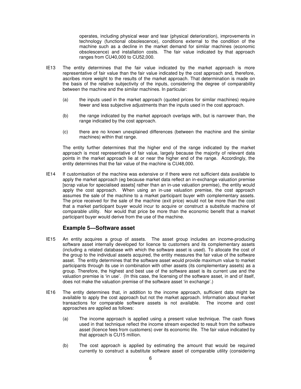operates, including physical wear and tear (physical deterioration), improvements in technology (functional obsolescence), conditions external to the condition of the machine such as a decline in the market demand for similar machines (economic obsolescence) and installation costs. The fair value indicated by that approach ranges from CU40,000 to CU52,000.

- IE13 The entity determines that the fair value indicated by the market approach is more representative of fair value than the fair value indicated by the cost approach and, therefore, ascribes more weight to the results of the market approach. That determination is made on the basis of the relative subjectivity of the inputs, considering the degree of comparability between the machine and the similar machines. In particular:
	- (a) the inputs used in the market approach (quoted prices for similar machines) require fewer and less subjective adjustments than the inputs used in the cost approach.
	- (b) the range indicated by the market approach overlaps with, but is narrower than, the range indicated by the cost approach.
	- (c) there are no known unexplained differences (between the machine and the similar machines) within that range.

The entity further determines that the higher end of the range indicated by the market approach is most representative of fair value, largely because the majority of relevant data points in the market approach lie at or near the higher end of the range. Accordingly, the entity determines that the fair value of the machine is CU48,000.

IE14 If customisation of the machine was extensive or if there were not sufficient data available to apply the market approach (eg because market data reflect an in-exchange valuation premise [scrap value for specialised assets] rather than an in-use valuation premise), the entity would apply the cost approach. When using an in-use valuation premise, the cost approach assumes the sale of the machine to a market participant buyer with complementary assets. The price received for the sale of the machine (exit price) would not be more than the cost that a market participant buyer would incur to acquire or construct a substitute machine of comparable utility. Nor would that price be more than the economic benefit that a market participant buyer would derive from the use of the machine.

#### **Example 5—Software asset**

- IE15 An entity acquires a group of assets. The asset group includes an income-producing software asset internally developed for licence to customers and its complementary assets (including a related database with which the software asset is used). To allocate the cost of the group to the individual assets acquired, the entity measures the fair value of the software asset. The entity determines that the software asset would provide maximum value to market participants through its use in combination with other assets (its complementary assets) as a group. Therefore, the highest and best use of the software asset is its current use and the valuation premise is 'in use'. (In this case, the licensing of the software asset, in and of itself, does not make the valuation premise of the software asset 'in exchange'.)
- IE16 The entity determines that, in addition to the income approach, sufficient data might be available to apply the cost approach but not the market approach. Information about market transactions for comparable software assets is not available. The income and cost approaches are applied as follows:
	- (a) The income approach is applied using a present value technique. The cash flows used in that technique reflect the income stream expected to result from the software asset (licence fees from customers) over its economic life. The fair value indicated by that approach is CU15 million.
	- (b) The cost approach is applied by estimating the amount that would be required currently to construct a substitute software asset of comparable utility (considering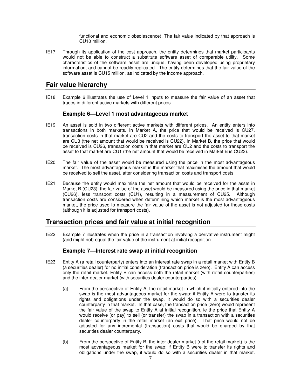functional and economic obsolescence). The fair value indicated by that approach is CU10 million.

IE17 Through its application of the cost approach, the entity determines that market participants would not be able to construct a substitute software asset of comparable utility. Some characteristics of the software asset are unique, having been developed using proprietary information, and cannot be readily replicated. The entity determines that the fair value of the software asset is CU15 million, as indicated by the income approach.

#### **Fair value hierarchy**

IE18 Example 6 illustrates the use of Level 1 inputs to measure the fair value of an asset that trades in different active markets with different prices.

#### **Example 6—Level 1 most advantageous market**

- IE19 An asset is sold in two different active markets with different prices. An entity enters into transactions in both markets. In Market A, the price that would be received is CU27, transaction costs in that market are CU2 and the costs to transport the asset to that market are CU3 (the net amount that would be received is CU22). In Market B, the price that would be received is CU26, transaction costs in that market are CU2 and the costs to transport the asset to that market are CU1 (the net amount that would be received in Market B is CU23).
- IE20 The fair value of the asset would be measured using the price in the most advantageous market. The most advantageous market is the market that maximises the amount that would be received to sell the asset, after considering transaction costs and transport costs.
- IE21 Because the entity would maximise the net amount that would be received for the asset in Market B (CU23), the fair value of the asset would be measured using the price in that market (CU26), less transport costs (CU1), resulting in a measurement of CU25. Although transaction costs are considered when determining which market is the most advantageous market, the price used to measure the fair value of the asset is not adjusted for those costs (although it is adjusted for transport costs).

#### **Transaction prices and fair value at initial recognition**

IE22 Example 7 illustrates when the price in a transaction involving a derivative instrument might (and might not) equal the fair value of the instrument at initial recognition.

#### **Example 7—Interest rate swap at initial recognition**

- IE23 Entity A (a retail counterparty) enters into an interest rate swap in a retail market with Entity B (a securities dealer) for no initial consideration (transaction price is zero). Entity A can access only the retail market. Entity B can access both the retail market (with retail counterparties) and the inter-dealer market (with securities dealer counterparties).
	- (a) From the perspective of Entity A, the retail market in which it initially entered into the swap is the most advantageous market for the swap; if Entity A were to transfer its rights and obligations under the swap, it would do so with a securities dealer counterparty in that market. In that case, the transaction price (zero) would represent the fair value of the swap to Entity A at initial recognition, ie the price that Entity A would receive (or pay) to sell (or transfer) the swap in a transaction with a securities dealer counterparty in the retail market (an exit price). That price would not be adjusted for any incremental (transaction) costs that would be charged by that securities dealer counterparty.
	- (b) From the perspective of Entity B, the inter-dealer market (not the retail market) is the most advantageous market for the swap; if Entity B were to transfer its rights and obligations under the swap, it would do so with a securities dealer in that market.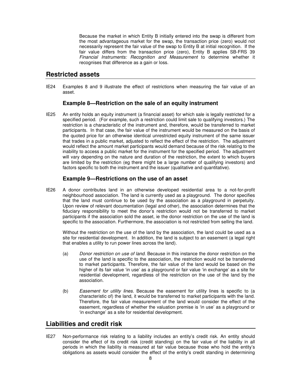Because the market in which Entity B initially entered into the swap is different from the most advantageous market for the swap, the transaction price (zero) would not necessarily represent the fair value of the swap to Entity B at initial recognition. If the fair value differs from the transaction price (zero), Entity B applies SB-FRS 39 Financial Instruments: Recognition and Measurement to determine whether it recognises that difference as a gain or loss.

#### **Restricted assets**

IE24 Examples 8 and 9 illustrate the effect of restrictions when measuring the fair value of an asset.

#### **Example 8—Restriction on the sale of an equity instrument**

IE25 An entity holds an equity instrument (a financial asset) for which sale is legally restricted for a specified period. (For example, such a restriction could limit sale to qualifying investors.) The restriction is a characteristic of the instrument and, therefore, would be transferred to market participants. In that case, the fair value of the instrument would be measured on the basis of the quoted price for an otherwise identical unrestricted equity instrument of the same issuer that trades in a public market, adjusted to reflect the effect of the restriction. The adjustment would reflect the amount market participants would demand because of the risk relating to the inability to access a public market for the instrument for the specified period. The adjustment will vary depending on the nature and duration of the restriction, the extent to which buyers are limited by the restriction (eg there might be a large number of qualifying investors) and factors specific to both the instrument and the issuer (qualitative and quantitative).

#### **Example 9—Restrictions on the use of an asset**

IE26 A donor contributes land in an otherwise developed residential area to a not-for-profit neighbourhood association. The land is currently used as a playground. The donor specifies that the land must continue to be used by the association as a playground in perpetuity. Upon review of relevant documentation (legal and other), the association determines that the fiduciary responsibility to meet the donor's restriction would not be transferred to market participants if the association sold the asset, ie the donor restriction on the use of the land is specific to the association. Furthermore, the association is not restricted from selling the land.

Without the restriction on the use of the land by the association, the land could be used as a site for residential development. In addition, the land is subject to an easement (a legal right that enables a utility to run power lines across the land).

- (a) Donor restriction on use of land. Because in this instance the donor restriction on the use of the land is specific to the association, the restriction would not be transferred to market participants. Therefore, the fair value of the land would be based on the higher of its fair value 'in use' as a playground or fair value 'in exchange' as a site for residential development, regardless of the restriction on the use of the land by the association.
- (b) Easement for utility lines. Because the easement for utility lines is specific to (a characteristic of) the land, it would be transferred to market participants with the land. Therefore, the fair value measurement of the land would consider the effect of the easement, regardless of whether the valuation premise is 'in use' as a playground or 'in exchange' as a site for residential development.

#### **Liabilities and credit risk**

IE27 Non-performance risk relating to a liability includes an entity's credit risk. An entity should consider the effect of its credit risk (credit standing) on the fair value of the liability in all periods in which the liability is measured at fair value because those who hold the entity's obligations as assets would consider the effect of the entity's credit standing in determining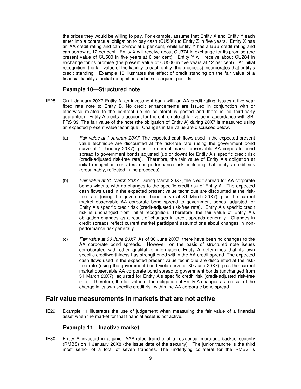the prices they would be willing to pay. For example, assume that Entity X and Entity Y each enter into a contractual obligation to pay cash (CU500) to Entity Z in five years. Entity X has an AA credit rating and can borrow at 6 per cent, while Entity Y has a BBB credit rating and can borrow at 12 per cent. Entity X will receive about CU374 in exchange for its promise (the present value of CU500 in five years at 6 per cent). Entity Y will receive about CU284 in exchange for its promise (the present value of CU500 in five years at 12 per cent). At initial recognition, the fair value of the liability to each entity (the proceeds) incorporates that entity's credit standing. Example 10 illustrates the effect of credit standing on the fair value of a financial liability at initial recognition and in subsequent periods.

#### **Example 10—Structured note**

- IE28 On 1 January 20X7 Entity A, an investment bank with an AA credit rating, issues a five-year fixed rate note to Entity B. No credit enhancements are issued in conjunction with or otherwise related to the contract (ie no collateral is posted and there is no third-party guarantee). Entity A elects to account for the entire note at fair value in accordance with SB-FRS 39. The fair value of the note (the obligation of Entity A) during 20X7 is measured using an expected present value technique. Changes in fair value are discussed below.
	- (a) Fair value at 1 January 20X7. The expected cash flows used in the expected present value technique are discounted at the risk-free rate (using the government bond curve at 1 January 20X7), plus the current market observable AA corporate bond spread to government bonds adjusted (up or down) for Entity A's specific credit risk (credit-adjusted risk-free rate). Therefore, the fair value of Entity A's obligation at initial recognition considers non-performance risk, including that entity's credit risk (presumably, reflected in the proceeds).
	- (b) Fair value at 31 March 20X7 During March 20X7, the credit spread for AA corporate bonds widens, with no changes to the specific credit risk of Entity A. The expected cash flows used in the expected present value technique are discounted at the riskfree rate (using the government bond curve at 31 March 20X7), plus the current market observable AA corporate bond spread to government bonds, adjusted for Entity A's specific credit risk (credit-adjusted risk-free rate). Entity A's specific credit risk is unchanged from initial recognition. Therefore, the fair value of Entity A's obligation changes as a result of changes in credit spreads generally. Changes in credit spreads reflect current market participant assumptions about changes in nonperformance risk generally.
	- (c) Fair value at 30 June 20X7. As of 30 June 20X7, there have been no changes to the AA corporate bond spreads. However, on the basis of structured note issues corroborated with other qualitative information, Entity A determines that its own specific creditworthiness has strengthened within the AA credit spread. The expected cash flows used in the expected present value technique are discounted at the riskfree rate (using the government bond yield curve at 30 June 20X7), plus the current market observable AA corporate bond spread to government bonds (unchanged from 31 March 20X7), adjusted for Entity A's specific credit risk (credit-adjusted risk-free rate). Therefore, the fair value of the obligation of Entity A changes as a result of the change in its own specific credit risk within the AA corporate bond spread.

#### **Fair value measurements in markets that are not active**

IE29 Example 11 illustrates the use of judgement when measuring the fair value of a financial asset when the market for that financial asset is not active.

#### **Example 11—Inactive market**

IE30 Entity A invested in a junior AAA-rated tranche of a residential mortgage-backed security (RMBS) on 1 January 20X8 (the issue date of the security). The junior tranche is the third most senior of a total of seven tranches. The underlying collateral for the RMBS is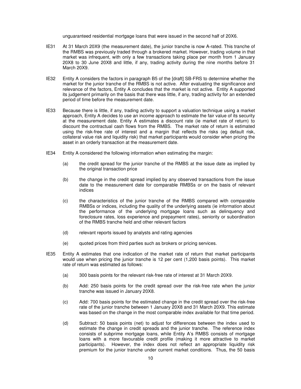unguaranteed residential mortgage loans that were issued in the second half of 20X6.

- IE31 At 31 March 20X9 (the measurement date), the junior tranche is now A-rated. This tranche of the RMBS was previously traded through a brokered market. However, trading volume in that market was infrequent, with only a few transactions taking place per month from 1 January 20X8 to 30 June 20X8 and little, if any, trading activity during the nine months before 31 March 20X9.
- IE32 Entity A considers the factors in paragraph B5 of the [draft] SB-FRS to determine whether the market for the junior tranche of the RMBS is not active. After evaluating the significance and relevance of the factors, Entity A concludes that the market is not active. Entity A supported its judgement primarily on the basis that there was little, if any, trading activity for an extended period of time before the measurement date.
- IE33 Because there is little, if any, trading activity to support a valuation technique using a market approach, Entity A decides to use an income approach to estimate the fair value of its security at the measurement date. Entity A estimates a discount rate (ie market rate of return) to discount the contractual cash flows from the RMBS. The market rate of return is estimated using the risk-free rate of interest and a margin that reflects the risks (eg default risk, collateral value risk and liquidity risk) that market participants would consider when pricing the asset in an orderly transaction at the measurement date.
- IE34 Entity A considered the following information when estimating the margin:
	- (a) the credit spread for the junior tranche of the RMBS at the issue date as implied by the original transaction price
	- (b) the change in the credit spread implied by any observed transactions from the issue date to the measurement date for comparable RMBSs or on the basis of relevant indices
	- (c) the characteristics of the junior tranche of the RMBS compared with comparable RMBSs or indices, including the quality of the underlying assets (ie information about the performance of the underlying mortgage loans such as delinquency and foreclosure rates, loss experience and prepayment rates), seniority or subordination of the RMBS tranche held and other relevant factors
	- (d) relevant reports issued by analysts and rating agencies
	- (e) quoted prices from third parties such as brokers or pricing services.
- IE35 Entity A estimates that one indication of the market rate of return that market participants would use when pricing the junior tranche is 12 per cent (1,200 basis points). This market rate of return was estimated as follows:
	- (a) 300 basis points for the relevant risk-free rate of interest at 31 March 20X9.
	- (b) Add: 250 basis points for the credit spread over the risk-free rate when the junior tranche was issued in January 20X8.
	- (c) Add: 700 basis points for the estimated change in the credit spread over the risk-free rate of the junior tranche between 1 January 20X8 and 31 March 20X9. This estimate was based on the change in the most comparable index available for that time period.
	- (d) Subtract: 50 basis points (net) to adjust for differences between the index used to estimate the change in credit spreads and the junior tranche. The reference index consists of subprime mortgage loans, while Entity A's RMBS consists of mortgage loans with a more favourable credit profile (making it more attractive to market participants). However, the index does not reflect an appropriate liquidity risk premium for the junior tranche under current market conditions. Thus, the 50 basis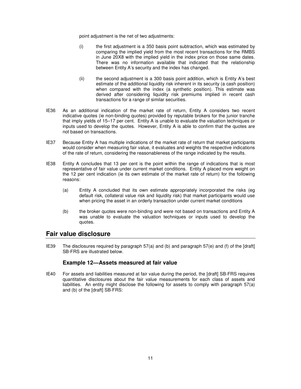point adjustment is the net of two adjustments:

- (i) the first adjustment is a 350 basis point subtraction, which was estimated by comparing the implied yield from the most recent transactions for the RMBS in June 20X8 with the implied yield in the index price on those same dates. There was no information available that indicated that the relationship between Entity A's security and the index has changed.
- (ii) the second adjustment is a 300 basis point addition, which is Entity A's best estimate of the additional liquidity risk inherent in its security (a cash position) when compared with the index (a synthetic position). This estimate was derived after considering liquidity risk premiums implied in recent cash transactions for a range of similar securities.
- IE36 As an additional indication of the market rate of return, Entity A considers two recent indicative quotes (ie non-binding quotes) provided by reputable brokers for the junior tranche that imply yields of 15–17 per cent. Entity A is unable to evaluate the valuation techniques or inputs used to develop the quotes. However, Entity A is able to confirm that the quotes are not based on transactions.
- IE37 Because Entity A has multiple indications of the market rate of return that market participants would consider when measuring fair value, it evaluates and weights the respective indications of the rate of return, considering the reasonableness of the range indicated by the results.
- IE38 Entity A concludes that 13 per cent is the point within the range of indications that is most representative of fair value under current market conditions. Entity A placed more weight on the 12 per cent indication (ie its own estimate of the market rate of return) for the following reasons:
	- (a) Entity A concluded that its own estimate appropriately incorporated the risks (eg default risk, collateral value risk and liquidity risk) that market participants would use when pricing the asset in an orderly transaction under current market conditions
	- (b) the broker quotes were non-binding and were not based on transactions and Entity A was unable to evaluate the valuation techniques or inputs used to develop the quotes.

#### **Fair value disclosure**

IE39 The disclosures required by paragraph 57(a) and (b) and paragraph 57(e) and (f) of the [draft] SB-FRS are illustrated below.

#### **Example 12—Assets measured at fair value**

IE40 For assets and liabilities measured at fair value during the period, the [draft] SB-FRS requires quantitative disclosures about the fair value measurements for each class of assets and liabilities. An entity might disclose the following for assets to comply with paragraph 57(a) and (b) of the [draft] SB-FRS: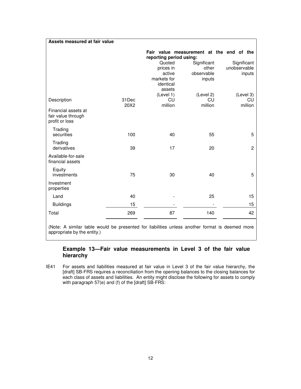| Assets measured at fair value                               |               |                                                                                      |                                              |                                                                                   |
|-------------------------------------------------------------|---------------|--------------------------------------------------------------------------------------|----------------------------------------------|-----------------------------------------------------------------------------------|
|                                                             |               | reporting period using:<br>Quoted<br>prices in<br>active<br>markets for<br>identical | Significant<br>other<br>observable<br>inputs | Fair value measurement at the end of the<br>Significant<br>unobservable<br>inputs |
| Description                                                 | 31Dec<br>20X2 | assets<br>(Level 1)<br>CU<br>million                                                 | (Level 2)<br>CU<br>million                   | (Level 3)<br>СU<br>million                                                        |
| Financial assets at<br>fair value through<br>profit or loss |               |                                                                                      |                                              |                                                                                   |
| Trading<br>securities                                       | 100           | 40                                                                                   | 55                                           | 5                                                                                 |
| Trading<br>derivatives                                      | 39            | 17                                                                                   | 20                                           | $\overline{c}$                                                                    |
| Available-for-sale<br>financial assets                      |               |                                                                                      |                                              |                                                                                   |
| Equity<br>investments                                       | 75            | 30                                                                                   | 40                                           | 5                                                                                 |
| Investment<br>properties                                    |               |                                                                                      |                                              |                                                                                   |
| Land                                                        | 40            |                                                                                      | 25                                           | 15                                                                                |
| <b>Buildings</b>                                            | 15            |                                                                                      |                                              | 15                                                                                |
| Total                                                       | 269           | 87                                                                                   | 140                                          | 42                                                                                |

(Note: A similar table would be presented for liabilities unless another format is deemed more appropriate by the entity.)

#### **Example 13—Fair value measurements in Level 3 of the fair value hierarchy**

IE41 For assets and liabilities measured at fair value in Level 3 of the fair value hierarchy, the [draft] SB-FRS requires a reconciliation from the opening balances to the closing balances for each class of assets and liabilities. An entity might disclose the following for assets to comply with paragraph 57(e) and (f) of the [draft] SB-FRS: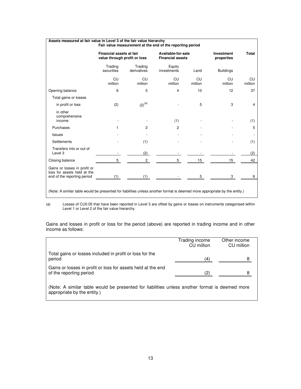| Assets measured at fair value in Level 3 of the fair value hierarchy<br>Fair value measurement at the end of the reporting period |                                                                 |                        |                                               |               |                          |               |  |
|-----------------------------------------------------------------------------------------------------------------------------------|-----------------------------------------------------------------|------------------------|-----------------------------------------------|---------------|--------------------------|---------------|--|
|                                                                                                                                   | <b>Financial assets at fair</b><br>value through profit or loss |                        | Available-for-sale<br><b>Financial assets</b> |               | Investment<br>properties | Total         |  |
|                                                                                                                                   | Trading<br>securities                                           | Trading<br>derivatives | Equity<br>investments                         | Land          | <b>Buildings</b>         |               |  |
|                                                                                                                                   | CU<br>million                                                   | CU<br>million          | CU<br>million                                 | CU<br>million | CU<br>million            | CU<br>million |  |
| Opening balance                                                                                                                   | 6                                                               | 5                      | 4                                             | 10            | 12                       | 37            |  |
| Total gains or losses                                                                                                             |                                                                 |                        |                                               |               |                          |               |  |
| in profit or loss                                                                                                                 | (2)                                                             | $(2)^{(a)}$            |                                               | 5             | 3                        | 4             |  |
| in other<br>comprehensive<br>income                                                                                               |                                                                 |                        | (1)                                           |               |                          | (1)           |  |
| Purchases                                                                                                                         | 1                                                               | $\overline{2}$         | $\overline{2}$                                |               |                          | 5             |  |
| <b>Issues</b>                                                                                                                     |                                                                 |                        |                                               |               |                          |               |  |
| Settlements                                                                                                                       |                                                                 | (1)                    |                                               |               |                          | (1)           |  |
| Transfers into or out of<br>Level 3                                                                                               |                                                                 | (2)                    |                                               |               |                          | (2)           |  |
| Closing balance                                                                                                                   | 5                                                               | $\overline{2}$         | 5                                             | 15            | 15                       | 42            |  |
| Gains or losses in profit or<br>loss for assets held at the<br>end of the reporting period                                        | (1)                                                             | (1)                    |                                               | 5             | 3                        | 6             |  |

(Note: A similar table would be presented for liabilities unless another format is deemed more appropriate by the entity.)

(a) Losses of CU0.05 that have been reported in Level 3 are offset by gains or losses on instruments categorised within Level 1 or Level 2 of the fair value hierarchy.

Gains and losses in profit or loss for the period (above) are reported in trading income and in other income as follows:

|                                                                                         | Trading income<br>CU million | Other income<br>CU million |
|-----------------------------------------------------------------------------------------|------------------------------|----------------------------|
| Total gains or losses included in profit or loss for the<br>period                      | 4                            |                            |
| Gains or losses in profit or loss for assets held at the end<br>of the reporting period |                              |                            |

(Note: A similar table would be presented for liabilities unless another format is deemed more appropriate by the entity.)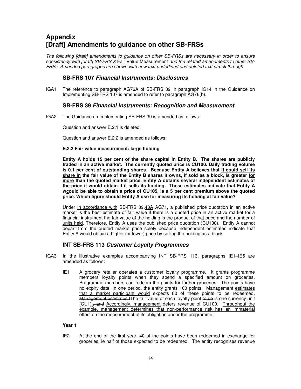### **Appendix [Draft] Amendments to guidance on other SB-FRSs**

The following [draft] amendments to guidance on other SB-FRSs are necessary in order to ensure consistency with [draft] SB-FRS X Fair Value Measurement and the related amendments to other SB-FRSs. Amended paragraphs are shown with new text underlined and deleted text struck through.

#### **SB-FRS 107 Financial Instruments: Disclosures**

IGA1 The reference to paragraph AG76A of SB-FRS 39 in paragraph IG14 in the Guidance on Implementing SB-FRS 107 is amended to refer to paragraph AG76(b).

#### **SB-FRS 39 Financial Instruments: Recognition and Measurement**

IGA2 The Guidance on Implementing SB-FRS 39 is amended as follows:

Question and answer E.2.1 is deleted.

Question and answer E.2.2 is amended as follows:

#### **E.2.2 Fair value measurement: large holding**

**Entity A holds 15 per cent of the share capital in Entity B. The shares are publicly traded in an active market. The currently quoted price is CU100. Daily trading volume is 0.1 per cent of outstanding shares. Because Entity A believes that it could sell its share in the fair value of the Entity B shares it owns, if sold as a block, is greater for more than the quoted market price, Entity A obtains several independent estimates of the price it would obtain if it sells its holding. These estimates indicate that Entity A wcould be able to obtain a price of CU105, ie a 5 per cent premium above the quoted price. Which figure should Entity A use for measuring its holding at fair value?** 

Under In accordance with SB-FRS 39.48A AG71, a published price quotation in an active market is the best estimate of fair value if there is a quoted price in an active market for a financial instrument the fair value of the holding is the product of that price and the number of units held. Therefore, Entity A uses the published price quotation (CU100). Entity A cannot depart from the quoted market price solely because independent estimates indicate that Entity A would obtain a higher (or lower) price by selling the holding as a block.

#### **INT SB-FRS 113 Customer Loyalty Programmes**

- IGA3 In the illustrative examples accompanying INT SB-FRS 113, paragraphs IE1–IE5 are amended as follows:
	- IE1 A grocery retailer operates a customer loyalty programme. It grants programme members loyalty points when they spend a specified amount on groceries. Programme members can redeem the points for further groceries. The points have no expiry date. In one period, the entity grants 100 points. Management estimates that a market participant would expects 80 of these points to be redeemed. Management estimates tThe fair value of each loyalty point to be is one currency unit (CU1)<sub>-</sub>, and Accordingly, management defers revenue of CU100. Throughout the example, management determines that non-performance risk has an immaterial effect on the measurement of its obligation under the programme.

#### **Year 1**

IE2 At the end of the first year, 40 of the points have been redeemed in exchange for groceries, ie half of those expected to be redeemed. The entity recognises revenue